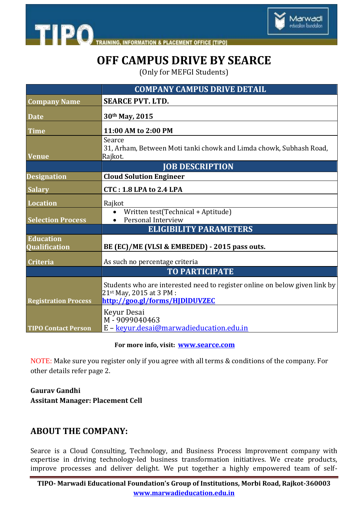



# **OFF CAMPUS DRIVE BY SEARCE**

(Only for MEFGI Students)

|                                          | <b>COMPANY CAMPUS DRIVE DETAIL</b>                                                                                                       |
|------------------------------------------|------------------------------------------------------------------------------------------------------------------------------------------|
| <b>Company Name</b>                      | <b>SEARCE PVT. LTD.</b>                                                                                                                  |
| <b>Date</b>                              | 30th May, 2015                                                                                                                           |
| <b>Time</b>                              | 11:00 AM to 2:00 PM                                                                                                                      |
| <b>Venue</b>                             | Searce<br>31, Arham, Between Moti tanki chowk and Limda chowk, Subhash Road,<br>Rajkot.                                                  |
|                                          | <b>JOB DESCRIPTION</b>                                                                                                                   |
| <b>Designation</b>                       | <b>Cloud Solution Engineer</b>                                                                                                           |
| <b>Salary</b>                            | <b>CTC: 1.8 LPA to 2.4 LPA</b>                                                                                                           |
| <b>Location</b>                          | Rajkot                                                                                                                                   |
| <b>Selection Process</b>                 | Written test(Technical + Aptitude)<br>Personal Interview                                                                                 |
|                                          | <b>ELIGIBILITY PARAMETERS</b>                                                                                                            |
| <b>Education</b><br><b>Qualification</b> | BE (EC)/ME (VLSI & EMBEDED) - 2015 pass outs.                                                                                            |
| <b>Criteria</b>                          | As such no percentage criteria                                                                                                           |
|                                          | <b>TO PARTICIPATE</b>                                                                                                                    |
| <b>Registration Process</b>              | Students who are interested need to register online on below given link by<br>21st May, 2015 at 3 PM :<br>http://goo.gl/forms/HJDlDUVZEC |
| <b>TIPO Contact Person</b>               | Keyur Desai<br>M-9099040463<br>E - keyur.desai@marwadieducation.edu.in                                                                   |

#### **For more info, visit: <www.searce.com>**

NOTE: Make sure you register only if you agree with all terms & conditions of the company. For other details refer page 2.

#### **Gaurav Gandhi Assitant Manager: Placement Cell**

#### **ABOUT THE COMPANY:**

Searce is a Cloud Consulting, Technology, and Business Process Improvement company with expertise in driving technology-led business transformation initiatives. We create products, improve processes and deliver delight. We put together a highly empowered team of self-